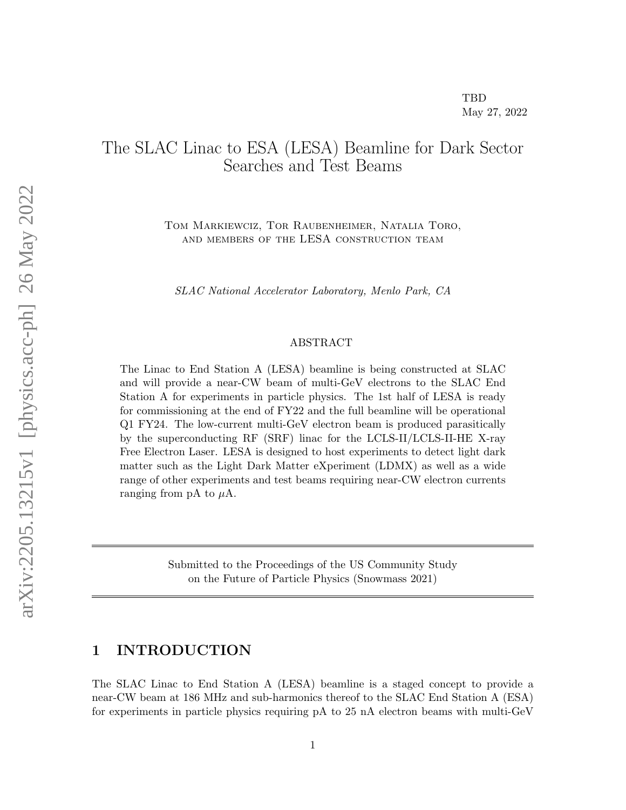# The SLAC Linac to ESA (LESA) Beamline for Dark Sector Searches and Test Beams

Tom Markiewciz, Tor Raubenheimer, Natalia Toro, and members of the LESA construction team

SLAC National Accelerator Laboratory, Menlo Park, CA

#### ABSTRACT

The Linac to End Station A (LESA) beamline is being constructed at SLAC and will provide a near-CW beam of multi-GeV electrons to the SLAC End Station A for experiments in particle physics. The 1st half of LESA is ready for commissioning at the end of FY22 and the full beamline will be operational Q1 FY24. The low-current multi-GeV electron beam is produced parasitically by the superconducting RF (SRF) linac for the LCLS-II/LCLS-II-HE X-ray Free Electron Laser. LESA is designed to host experiments to detect light dark matter such as the Light Dark Matter eXperiment (LDMX) as well as a wide range of other experiments and test beams requiring near-CW electron currents ranging from pA to  $\mu$ A.

> Submitted to the Proceedings of the US Community Study on the Future of Particle Physics (Snowmass 2021)

# 1 INTRODUCTION

The SLAC Linac to End Station A (LESA) beamline is a staged concept to provide a near-CW beam at 186 MHz and sub-harmonics thereof to the SLAC End Station A (ESA) for experiments in particle physics requiring pA to 25 nA electron beams with multi-GeV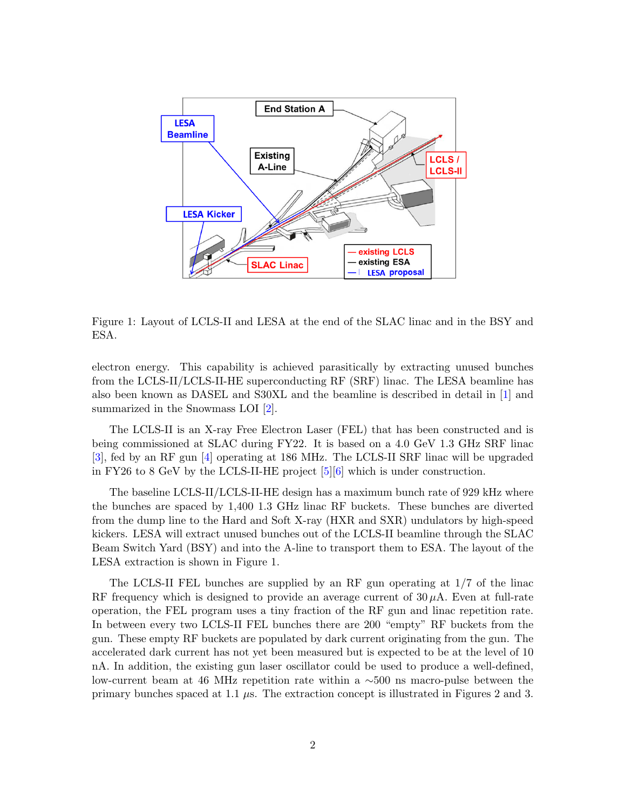

Figure 1: Layout of LCLS-II and LESA at the end of the SLAC linac and in the BSY and ESA.

electron energy. This capability is achieved parasitically by extracting unused bunches from the LCLS-II/LCLS-II-HE superconducting RF (SRF) linac. The LESA beamline has also been known as DASEL and S30XL and the beamline is described in detail in [\[1\]](#page-7-0) and summarized in the Snowmass LOI [\[2\]](#page-7-1).

The LCLS-II is an X-ray Free Electron Laser (FEL) that has been constructed and is being commissioned at SLAC during FY22. It is based on a 4.0 GeV 1.3 GHz SRF linac [\[3\]](#page-7-2), fed by an RF gun [\[4\]](#page-7-3) operating at 186 MHz. The LCLS-II SRF linac will be upgraded in FY26 to 8 GeV by the LCLS-II-HE project [\[5\]](#page-7-4)[\[6\]](#page-7-5) which is under construction.

The baseline LCLS-II/LCLS-II-HE design has a maximum bunch rate of 929 kHz where the bunches are spaced by 1,400 1.3 GHz linac RF buckets. These bunches are diverted from the dump line to the Hard and Soft X-ray (HXR and SXR) undulators by high-speed kickers. LESA will extract unused bunches out of the LCLS-II beamline through the SLAC Beam Switch Yard (BSY) and into the A-line to transport them to ESA. The layout of the LESA extraction is shown in Figure 1.

The LCLS-II FEL bunches are supplied by an RF gun operating at 1/7 of the linac RF frequency which is designed to provide an average current of  $30 \mu A$ . Even at full-rate operation, the FEL program uses a tiny fraction of the RF gun and linac repetition rate. In between every two LCLS-II FEL bunches there are 200 "empty" RF buckets from the gun. These empty RF buckets are populated by dark current originating from the gun. The accelerated dark current has not yet been measured but is expected to be at the level of 10 nA. In addition, the existing gun laser oscillator could be used to produce a well-defined, low-current beam at 46 MHz repetition rate within a ∼500 ns macro-pulse between the primary bunches spaced at 1.1  $\mu$ s. The extraction concept is illustrated in Figures 2 and 3.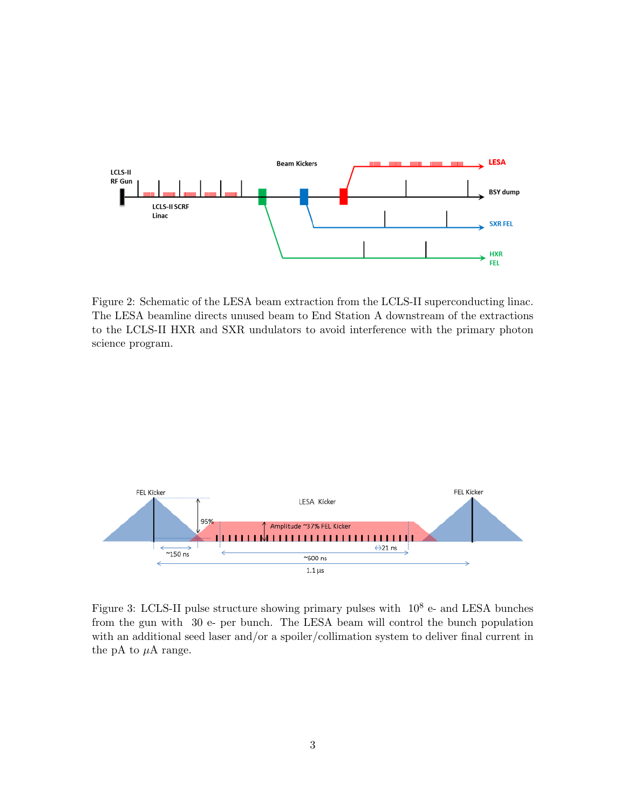

Figure 2: Schematic of the LESA beam extraction from the LCLS-II superconducting linac. The LESA beamline directs unused beam to End Station A downstream of the extractions to the LCLS-II HXR and SXR undulators to avoid interference with the primary photon science program.



Figure 3: LCLS-II pulse structure showing primary pulses with  $10^8$  e- and LESA bunches from the gun with 30 e- per bunch. The LESA beam will control the bunch population with an additional seed laser and/or a spoiler/collimation system to deliver final current in the pA to  $\mu$ A range.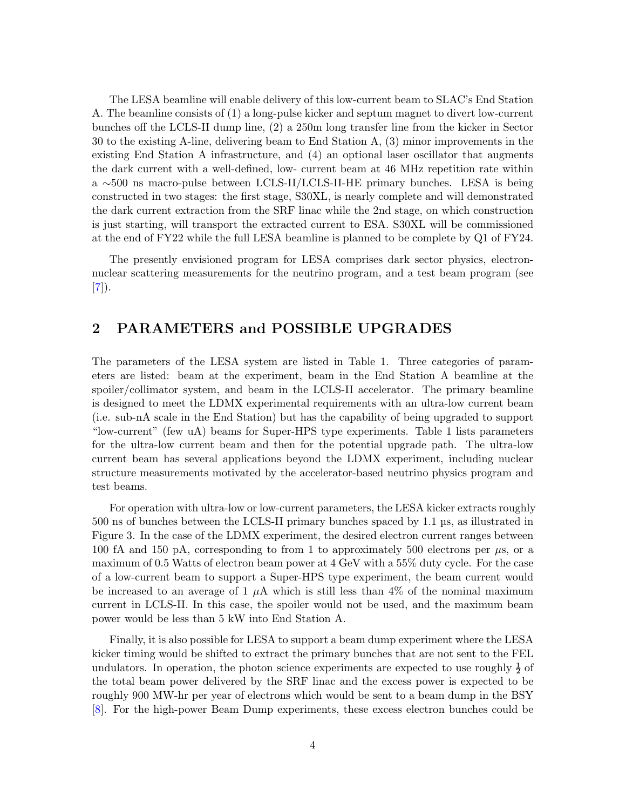The LESA beamline will enable delivery of this low-current beam to SLAC's End Station A. The beamline consists of (1) a long-pulse kicker and septum magnet to divert low-current bunches off the LCLS-II dump line, (2) a 250m long transfer line from the kicker in Sector 30 to the existing A-line, delivering beam to End Station A, (3) minor improvements in the existing End Station A infrastructure, and (4) an optional laser oscillator that augments the dark current with a well-defined, low- current beam at 46 MHz repetition rate within a ∼500 ns macro-pulse between LCLS-II/LCLS-II-HE primary bunches. LESA is being constructed in two stages: the first stage, S30XL, is nearly complete and will demonstrated the dark current extraction from the SRF linac while the 2nd stage, on which construction is just starting, will transport the extracted current to ESA. S30XL will be commissioned at the end of FY22 while the full LESA beamline is planned to be complete by Q1 of FY24.

The presently envisioned program for LESA comprises dark sector physics, electronnuclear scattering measurements for the neutrino program, and a test beam program (see  $[7]$ .

## 2 PARAMETERS and POSSIBLE UPGRADES

The parameters of the LESA system are listed in Table 1. Three categories of parameters are listed: beam at the experiment, beam in the End Station A beamline at the spoiler/collimator system, and beam in the LCLS-II accelerator. The primary beamline is designed to meet the LDMX experimental requirements with an ultra-low current beam (i.e. sub-nA scale in the End Station) but has the capability of being upgraded to support "low-current" (few uA) beams for Super-HPS type experiments. Table 1 lists parameters for the ultra-low current beam and then for the potential upgrade path. The ultra-low current beam has several applications beyond the LDMX experiment, including nuclear structure measurements motivated by the accelerator-based neutrino physics program and test beams.

For operation with ultra-low or low-current parameters, the LESA kicker extracts roughly 500 ns of bunches between the LCLS-II primary bunches spaced by 1.1 µs, as illustrated in Figure 3. In the case of the LDMX experiment, the desired electron current ranges between 100 fA and 150 pA, corresponding to from 1 to approximately 500 electrons per  $\mu$ s, or a maximum of 0.5 Watts of electron beam power at 4 GeV with a 55% duty cycle. For the case of a low-current beam to support a Super-HPS type experiment, the beam current would be increased to an average of 1  $\mu$ A which is still less than 4% of the nominal maximum current in LCLS-II. In this case, the spoiler would not be used, and the maximum beam power would be less than 5 kW into End Station A.

Finally, it is also possible for LESA to support a beam dump experiment where the LESA kicker timing would be shifted to extract the primary bunches that are not sent to the FEL undulators. In operation, the photon science experiments are expected to use roughly  $\frac{1}{2}$  of the total beam power delivered by the SRF linac and the excess power is expected to be roughly 900 MW-hr per year of electrons which would be sent to a beam dump in the BSY [\[8\]](#page-7-7). For the high-power Beam Dump experiments, these excess electron bunches could be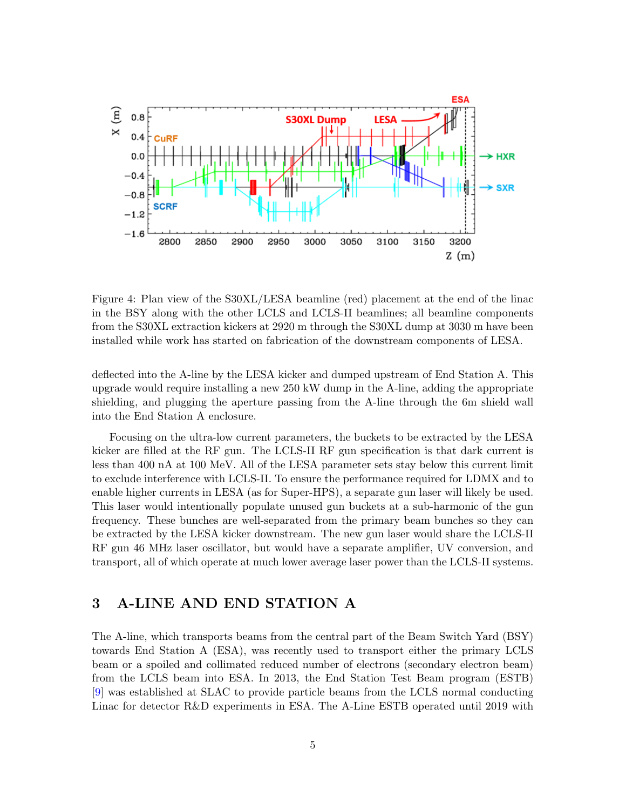

Figure 4: Plan view of the S30XL/LESA beamline (red) placement at the end of the linac in the BSY along with the other LCLS and LCLS-II beamlines; all beamline components from the S30XL extraction kickers at 2920 m through the S30XL dump at 3030 m have been installed while work has started on fabrication of the downstream components of LESA.

deflected into the A-line by the LESA kicker and dumped upstream of End Station A. This upgrade would require installing a new 250 kW dump in the A-line, adding the appropriate shielding, and plugging the aperture passing from the A-line through the 6m shield wall into the End Station A enclosure.

Focusing on the ultra-low current parameters, the buckets to be extracted by the LESA kicker are filled at the RF gun. The LCLS-II RF gun specification is that dark current is less than 400 nA at 100 MeV. All of the LESA parameter sets stay below this current limit to exclude interference with LCLS-II. To ensure the performance required for LDMX and to enable higher currents in LESA (as for Super-HPS), a separate gun laser will likely be used. This laser would intentionally populate unused gun buckets at a sub-harmonic of the gun frequency. These bunches are well-separated from the primary beam bunches so they can be extracted by the LESA kicker downstream. The new gun laser would share the LCLS-II RF gun 46 MHz laser oscillator, but would have a separate amplifier, UV conversion, and transport, all of which operate at much lower average laser power than the LCLS-II systems.

## 3 A-LINE AND END STATION A

The A-line, which transports beams from the central part of the Beam Switch Yard (BSY) towards End Station A (ESA), was recently used to transport either the primary LCLS beam or a spoiled and collimated reduced number of electrons (secondary electron beam) from the LCLS beam into ESA. In 2013, the End Station Test Beam program (ESTB) [\[9\]](#page-7-8) was established at SLAC to provide particle beams from the LCLS normal conducting Linac for detector R&D experiments in ESA. The A-Line ESTB operated until 2019 with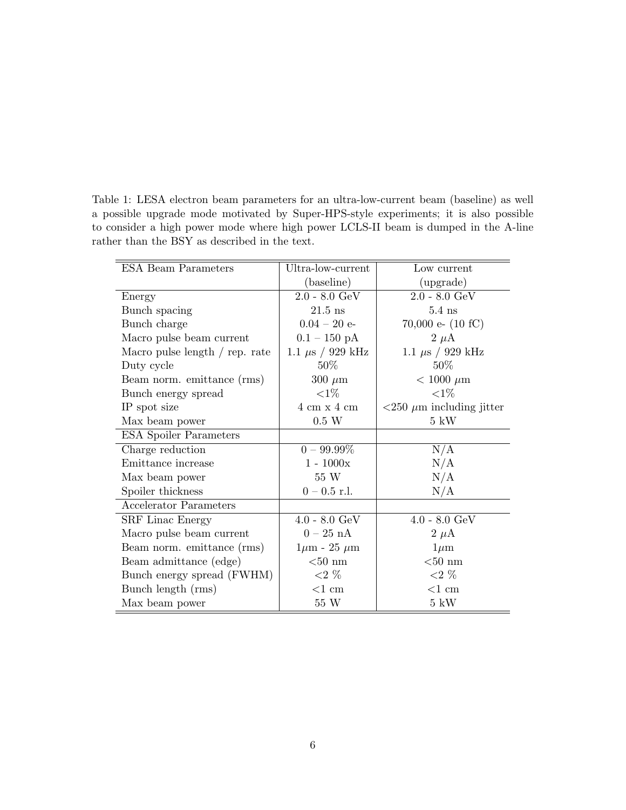Table 1: LESA electron beam parameters for an ultra-low-current beam (baseline) as well a possible upgrade mode motivated by Super-HPS-style experiments; it is also possible to consider a high power mode where high power LCLS-II beam is dumped in the A-line rather than the BSY as described in the text.

| <b>ESA Beam Parameters</b>     | Ultra-low-current             | Low current                                    |
|--------------------------------|-------------------------------|------------------------------------------------|
|                                | (baseline)                    | (upgrade)                                      |
| Energy                         | $2.0 - 8.0 \text{ GeV}$       | $2.0 - 8.0 \text{ GeV}$                        |
| Bunch spacing                  | $21.5$ ns                     | $5.4$ ns                                       |
| Bunch charge                   | $0.04 - 20$ e-                | 70,000 e- $(10 fC)$                            |
| Macro pulse beam current       | $0.1 - 150 \text{ pA}$        | $2 \mu A$                                      |
| Macro pulse length / rep. rate | 1.1 $\mu$ s / 929 kHz         | 1.1 $\mu$ s / 929 kHz                          |
| Duty cycle                     | $50\%$                        | $50\%$                                         |
| Beam norm. emittance (rms)     | $300 \ \mu m$                 | $< 1000 \mu m$                                 |
| Bunch energy spread            | ${<}1\%$                      | ${<}1\%$                                       |
| IP spot size                   | $4 \text{ cm} x 4 \text{ cm}$ | $\langle 250 \ \mu m \rangle$ including jitter |
| Max beam power                 | $0.5\ \text{W}$               | $5 \text{ kW}$                                 |
| <b>ESA</b> Spoiler Parameters  |                               |                                                |
| Charge reduction               | $0 - 99.99\%$                 | N/A                                            |
| Emittance increase             | $1 - 1000x$                   | N/A                                            |
| Max beam power                 | 55 W                          | N/A                                            |
| Spoiler thickness              | $0 - 0.5$ r.l.                | N/A                                            |
| <b>Accelerator Parameters</b>  |                               |                                                |
| <b>SRF</b> Linac Energy        | $4.0 - 8.0 \text{ GeV}$       | $4.0 - 8.0 \text{ GeV}$                        |
| Macro pulse beam current       | $0-25$ nA                     | $2 \mu A$                                      |
| Beam norm. emittance (rms)     | $1\mu$ m - 25 $\mu$ m         | $1 \mu m$                                      |
| Beam admittance (edge)         | $< 50$ nm                     | ${<}50~\rm{nm}$                                |
| Bunch energy spread (FWHM)     | ${<}2\%$                      | ${<}2\%$                                       |
| Bunch length (rms)             | ${<}1\ {\rm cm}$              | ${<}1\ {\rm cm}$                               |
| Max beam power                 | 55 W                          | $5 \text{ kW}$                                 |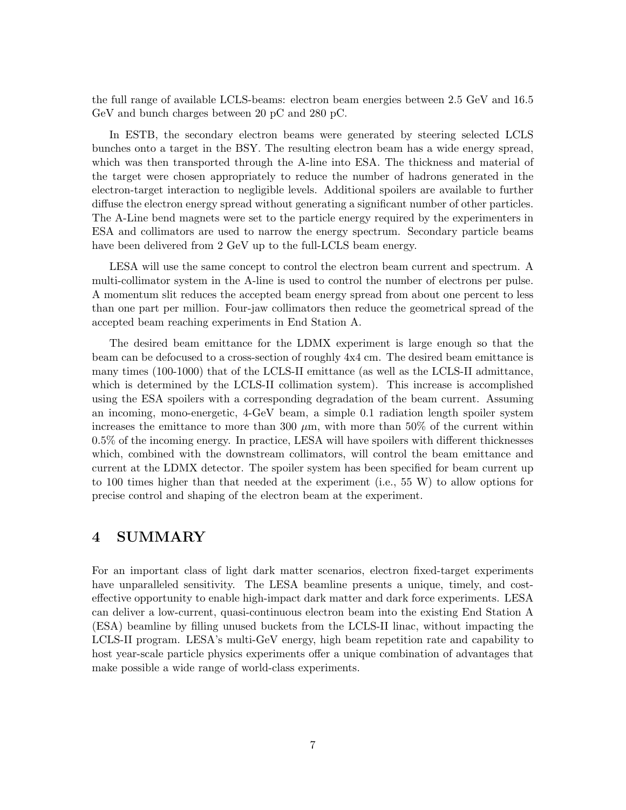the full range of available LCLS-beams: electron beam energies between 2.5 GeV and 16.5 GeV and bunch charges between 20 pC and 280 pC.

In ESTB, the secondary electron beams were generated by steering selected LCLS bunches onto a target in the BSY. The resulting electron beam has a wide energy spread, which was then transported through the A-line into ESA. The thickness and material of the target were chosen appropriately to reduce the number of hadrons generated in the electron-target interaction to negligible levels. Additional spoilers are available to further diffuse the electron energy spread without generating a significant number of other particles. The A-Line bend magnets were set to the particle energy required by the experimenters in ESA and collimators are used to narrow the energy spectrum. Secondary particle beams have been delivered from 2 GeV up to the full-LCLS beam energy.

LESA will use the same concept to control the electron beam current and spectrum. A multi-collimator system in the A-line is used to control the number of electrons per pulse. A momentum slit reduces the accepted beam energy spread from about one percent to less than one part per million. Four-jaw collimators then reduce the geometrical spread of the accepted beam reaching experiments in End Station A.

The desired beam emittance for the LDMX experiment is large enough so that the beam can be defocused to a cross-section of roughly 4x4 cm. The desired beam emittance is many times (100-1000) that of the LCLS-II emittance (as well as the LCLS-II admittance, which is determined by the LCLS-II collimation system). This increase is accomplished using the ESA spoilers with a corresponding degradation of the beam current. Assuming an incoming, mono-energetic, 4-GeV beam, a simple 0.1 radiation length spoiler system increases the emittance to more than 300  $\mu$ m, with more than 50% of the current within 0.5% of the incoming energy. In practice, LESA will have spoilers with different thicknesses which, combined with the downstream collimators, will control the beam emittance and current at the LDMX detector. The spoiler system has been specified for beam current up to 100 times higher than that needed at the experiment (i.e., 55 W) to allow options for precise control and shaping of the electron beam at the experiment.

#### 4 SUMMARY

For an important class of light dark matter scenarios, electron fixed-target experiments have unparalleled sensitivity. The LESA beamline presents a unique, timely, and costeffective opportunity to enable high-impact dark matter and dark force experiments. LESA can deliver a low-current, quasi-continuous electron beam into the existing End Station A (ESA) beamline by filling unused buckets from the LCLS-II linac, without impacting the LCLS-II program. LESA's multi-GeV energy, high beam repetition rate and capability to host year-scale particle physics experiments offer a unique combination of advantages that make possible a wide range of world-class experiments.